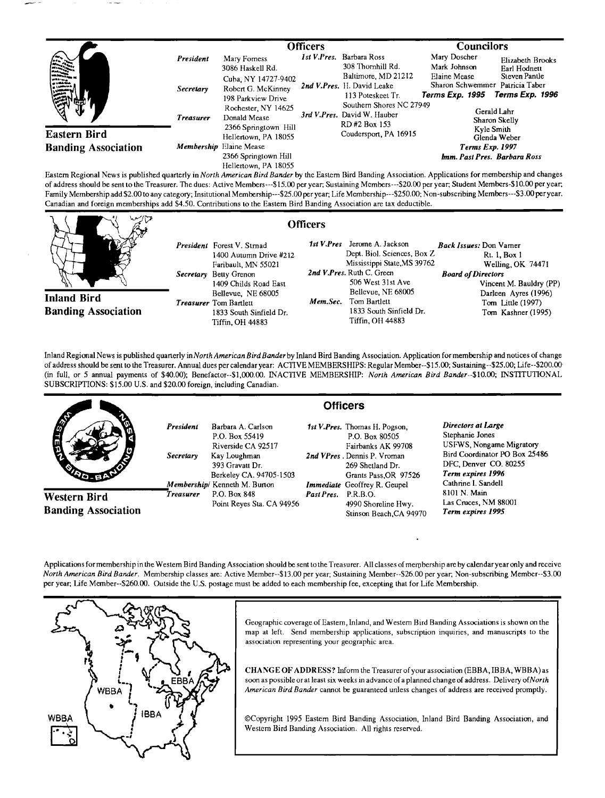|                                                                                                                                                                                                                                                                                                       |                  | <b>Officers</b>                                                                     |  |                                                                                                                                                                                                                                | <b>Councilors</b>                                                      |                                                                     |
|-------------------------------------------------------------------------------------------------------------------------------------------------------------------------------------------------------------------------------------------------------------------------------------------------------|------------------|-------------------------------------------------------------------------------------|--|--------------------------------------------------------------------------------------------------------------------------------------------------------------------------------------------------------------------------------|------------------------------------------------------------------------|---------------------------------------------------------------------|
| E<br>مسين<br><b>Eastern Bird</b>                                                                                                                                                                                                                                                                      | President        | Mary Forness<br>3086 Haskell Rd.                                                    |  | <i>Ist V.Pres.</i> Barbara Ross<br>308 Thornhill Rd.                                                                                                                                                                           | Mary Doscher<br>Mark Johnson                                           | Elizabeth Brooks<br>Earl Hodnett                                    |
|                                                                                                                                                                                                                                                                                                       | <b>Secretary</b> | Cuba, NY 14727-9402<br>Robert G. McKinney<br>198 Parkview Drive                     |  | Baltimore, MD 21212<br>2nd V.Pres. H. David Leake<br>113 Poteskeet Tr.<br>Southern Shores NC 27949<br>3rd V.Pres. David W. Hauber<br>RD#2 Box 153<br>Coudersport, PA 16915                                                     | Elaine Mease<br>Terms Exp. 1995                                        | Steven Pantle<br>Sharon Schwemmer Patricia Taber<br>Terms Exp. 1996 |
|                                                                                                                                                                                                                                                                                                       | <b>Treasurer</b> | Rochester, NY 14625<br>Donald Mease<br>2366 Springtown Hill<br>Hellertown, PA 18055 |  |                                                                                                                                                                                                                                |                                                                        | Gerald Lahr<br>Sharon Skelly<br>Kyle Smith                          |
| <b>Banding Association</b>                                                                                                                                                                                                                                                                            |                  | Membership Elaine Mease<br>2366 Springtown Hill                                     |  |                                                                                                                                                                                                                                | Glenda Weber<br><b>Terms Exp. 1997</b><br>Imm. Past Pres. Barbara Ross |                                                                     |
| $\mathbf{r}$ and $\mathbf{r}$ and $\mathbf{r}$ and $\mathbf{r}$ and $\mathbf{r}$ and $\mathbf{r}$ and $\mathbf{r}$ and $\mathbf{r}$ and $\mathbf{r}$ and $\mathbf{r}$ and $\mathbf{r}$ and $\mathbf{r}$ and $\mathbf{r}$ and $\mathbf{r}$ and $\mathbf{r}$ and $\mathbf{r}$ and $\mathbf{r}$ and<br>. | .                | Hellenown, PA 18055<br><b>PUILPING PUILPING</b>                                     |  | the state of the state of the state of the state of the state of the state of the state of the state of the state of the state of the state of the state of the state of the state of the state of the state of the state of t |                                                                        |                                                                     |

**Eastern Regional News is published quarterly inNorth American Bird Bander by the Eastern Bird Banding Association. Applications for membership and changes**  of address should be sent to the Treasurer. The dues: Active Members---\$15.00 per year; Sustaining Members---\$20.00 per year; Student Members-\$10.00 per year; **Family Membership add \$2.00 to any category; Insitutional Membership---S25.00 per year; Life Membership---S250.00; Non-subscribing Members---S3.00 peryear. Canadian and foreign memberships add \$4.50. Contributions to the Eastern Bird Banding Association are tax deductible.** 

**Officers** 

**Inland Bird Banding Association**  **President Forest V. Stmad 1400 Autumn Drive #212 Faribault, MN 55021 Secretary Betty Grenon 1409 Childs Road East Bellevue, NE 68005 Treasurer Tom Bartlett 1833 South Sinfield Dr. Tiffin, OH 44883** 

**1st V.Pres Jerome A. Jackson Dept. Biol. Sciences, Box Z Mississippi State,MS 39762**  2nd V.Pres. Ruth C. Green **506 West 31 st Ave Bellevue, NE 68005**  Mem.Sec. Tom Bartlett **1833 South Sinfield Dr. Tiffin, OH 44883 Back Issues: Don Vamer Rt. 1, Box 1 Welling, OK 74471 Board of Directors Vincent M. Bauldry (PP) Darlcen Ayres (1996) Torn Little (1997) Tom Kashner (1995)** 

**Inland Regional News is published quarterly in North American Bird Bander by Inland Bird Banding Association. Application for membership and notices of change of address should be sent to the Treasurer. Annual dues per calendar year: ACTIVE MEMBERSHIPS: Regular Member--\$15.00; Sustaining--S25.00; Life--S200.00' (in full, or 5 annual payments of \$40.00); Benefactor--S1,000.00. INACTIVE MEMBERSHIP: North American Bird Bander--S10.00; INSTITUTIONAL SUBSCRIPTIONS: \$15.00 U.S. and \$20.00 foreign, including Canadian.** 

|                                            |                        | <b>Officers</b>                                                                                                                                           |                     |                                                                                                                                                                                          |                                                                                                                                                                         |  |  |  |
|--------------------------------------------|------------------------|-----------------------------------------------------------------------------------------------------------------------------------------------------------|---------------------|------------------------------------------------------------------------------------------------------------------------------------------------------------------------------------------|-------------------------------------------------------------------------------------------------------------------------------------------------------------------------|--|--|--|
| <b>ANTI</b>                                | President<br>Secretary | Barbara A. Carlson<br>P.O. Box 55419<br>Riverside CA 92517<br>Kay Loughman<br>393 Gravatt Dr.<br>Berkeley CA. 94705-1503<br>Membership/ Kenneth M. Burton |                     | 1st V.Pres. Thomas H. Pogson.<br>P.O. Box 80505<br>Fairbanks AK 99708<br>2nd VPres. Dennis P. Vroman<br>269 Shetland Dr.<br>Grants Pass, OR 97526<br><b>Immediate</b> Geoffrey R. Geupel | Directors at Large<br>Stephanie Jones<br>USFWS, Nongame Migratory<br>Bird Coordinator PO Box 25486<br>DFC, Denver CO. 80255<br>Term expires 1996<br>Cathrine I. Sandell |  |  |  |
| Western Bird<br><b>Banding Association</b> | Treasurer              | P.O. Box 848<br>Point Reyes Sta. CA 94956                                                                                                                 | Past Pres. P.R.B.O. | 4990 Shoreline Hwy.<br>Stinson Beach.CA 94970                                                                                                                                            | 8101 N. Main<br>Las Cruces, NM 88001<br>Term expires 1995                                                                                                               |  |  |  |

Applications for membership in the Western Bird Banding Association should be sent to the Treasurer. All classes of membership are by calendar year only and receive **North American Bird Bander. Membership classes are: Active Member--\$13.00 per year; Sustaining Member--S26.00 per year; Non-subscribing Member--S3.00 per year; Life Member--S260.00. Outside the U.S. postage must be added to each membership fee, excepting that for Life Membership.** 



Geographic coverage of Eastern, Inland, and Western Bird Banding Associations is shown on the **map at left. Send membership applications, subscription iquiries, and manuscripts to the association representing your geographic area.** 

**CHANGE OF ADDRESS? Inform the Treasurer of your association (EBBA, IBBA, WBBA) as**  soon as possible or at least six weeks in advance of a planned change of address. Delivery of North **American Bird Bander cannot be guaranteed unless changes of address are received promptly.** 

**¸Copyright 1995 Eastern Bird Banding Association, Inland Bird Banding Association, and Western Bird Banding Association. All fights reserved.**